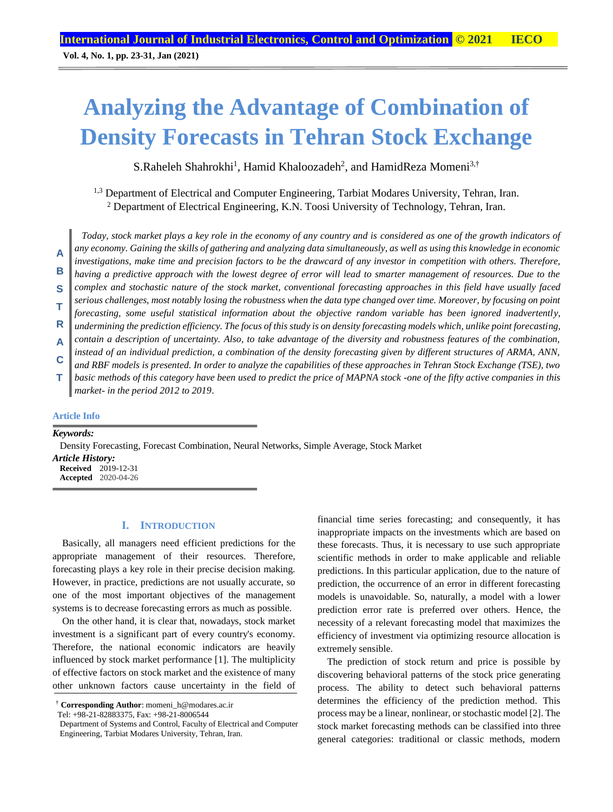# **Analyzing the Advantage of Combination of Density Forecasts in Tehran Stock Exchange**

S.Raheleh Shahrokhi<sup>1</sup>, Hamid Khaloozadeh<sup>2</sup>, and HamidReza Momeni<sup>3,†</sup>

1,3 Department of Electrical and Computer Engineering, Tarbiat Modares University, Tehran, Iran. <sup>2</sup> Department of Electrical Engineering, K.N. Toosi University of Technology, Tehran, Iran.

*Today, stock market plays a key role in the economy of any country and is considered as one of the growth indicators of any economy. Gaining the skills of gathering and analyzing data simultaneously, as well as using this knowledge in economic investigations, make time and precision factors to be the drawcard of any investor in competition with others. Therefore, having a predictive approach with the lowest degree of error will lead to smarter management of resources. Due to the complex and stochastic nature of the stock market, conventional forecasting approaches in this field have usually faced serious challenges, most notably losing the robustness when the data type changed over time. Moreover, by focusing on point forecasting, some useful statistical information about the objective random variable has been ignored inadvertently, undermining the prediction efficiency. The focus of this study is on density forecasting models which, unlike point forecasting, contain a description of uncertainty. Also, to take advantage of the diversity and robustness features of the combination, instead of an individual prediction, a combination of the density forecasting given by different structures of ARMA, ANN, and RBF models is presented. In order to analyze the capabilities of these approaches in Tehran Stock Exchange (TSE), two basic methods of this category have been used to predict the price of MAPNA stock -one of the fifty active companies in this market- in the period 2012 to 2019*. **A B S T R A C T**

#### **Article Info**

#### *Keywords:*

Density Forecasting, Forecast Combination, Neural Networks, Simple Average, Stock Market *Article History:* **Received** 2019-12-31 **Accepted** 2020-04-26

## **I. INTRODUCTION**

Basically, all managers need efficient predictions for the appropriate management of their resources. Therefore, forecasting plays a key role in their precise decision making. However, in practice, predictions are not usually accurate, so one of the most important objectives of the management systems is to decrease forecasting errors as much as possible.

On the other hand, it is clear that, nowadays, stock market investment is a significant part of every country's economy. Therefore, the national economic indicators are heavily influenced by stock market performance [1]. The multiplicity of effective factors on stock market and the existence of many other unknown factors cause uncertainty in the field of

Tel: +98-21-82883375, Fax: +98-21-8006544

financial time series forecasting; and consequently, it has inappropriate impacts on the investments which are based on these forecasts. Thus, it is necessary to use such appropriate scientific methods in order to make applicable and reliable predictions. In this particular application, due to the nature of prediction, the occurrence of an error in different forecasting models is unavoidable. So, naturally, a model with a lower prediction error rate is preferred over others. Hence, the necessity of a relevant forecasting model that maximizes the efficiency of investment via optimizing resource allocation is extremely sensible.

The prediction of stock return and price is possible by discovering behavioral patterns of the stock price generating process. The ability to detect such behavioral patterns determines the efficiency of the prediction method. This process may be a linear, nonlinear, or stochastic model [2]. The stock market forecasting methods can be classified into three general categories: traditional or classic methods, modern

<sup>†</sup> **Corresponding Author**: momeni\_h@modares.ac.ir

Department of Systems and Control, Faculty of Electrical and Computer Engineering, Tarbiat Modares University, Tehran, Iran.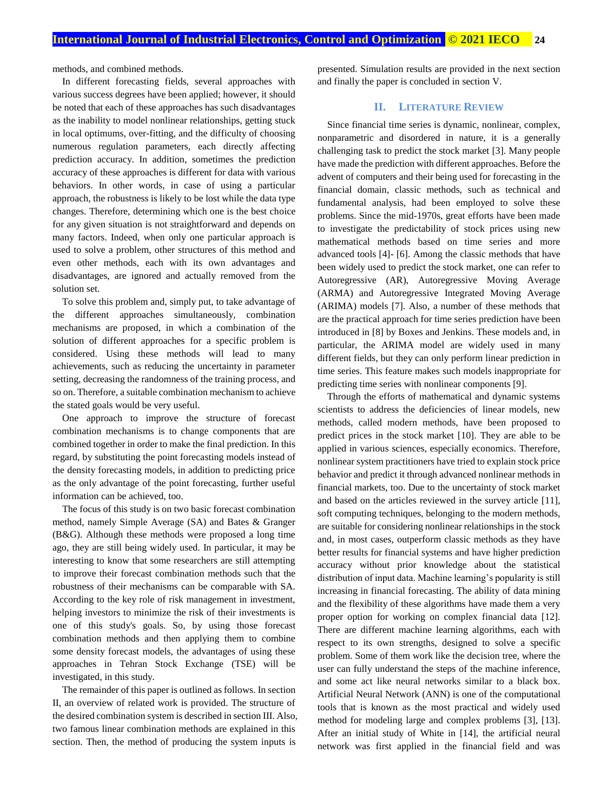methods, and combined methods.

In different forecasting fields, several approaches with various success degrees have been applied; however, it should be noted that each of these approaches has such disadvantages as the inability to model nonlinear relationships, getting stuck in local optimums, over-fitting, and the difficulty of choosing numerous regulation parameters, each directly affecting prediction accuracy. In addition, sometimes the prediction accuracy of these approaches is different for data with various behaviors. In other words, in case of using a particular approach, the robustness is likely to be lost while the data type changes. Therefore, determining which one is the best choice for any given situation is not straightforward and depends on many factors. Indeed, when only one particular approach is used to solve a problem, other structures of this method and even other methods, each with its own advantages and disadvantages, are ignored and actually removed from the solution set.

To solve this problem and, simply put, to take advantage of the different approaches simultaneously, combination mechanisms are proposed, in which a combination of the solution of different approaches for a specific problem is considered. Using these methods will lead to many achievements, such as reducing the uncertainty in parameter setting, decreasing the randomness of the training process, and so on. Therefore, a suitable combination mechanism to achieve the stated goals would be very useful.

One approach to improve the structure of forecast combination mechanisms is to change components that are combined together in order to make the final prediction. In this regard, by substituting the point forecasting models instead of the density forecasting models, in addition to predicting price as the only advantage of the point forecasting, further useful information can be achieved, too.

The focus of this study is on two basic forecast combination method, namely Simple Average (SA) and Bates & Granger (B&G). Although these methods were proposed a long time ago, they are still being widely used. In particular, it may be interesting to know that some researchers are still attempting to improve their forecast combination methods such that the robustness of their mechanisms can be comparable with SA. According to the key role of risk management in investment, helping investors to minimize the risk of their investments is one of this study's goals. So, by using those forecast combination methods and then applying them to combine some density forecast models, the advantages of using these approaches in Tehran Stock Exchange (TSE) will be investigated, in this study.

The remainder of this paper is outlined as follows. In section II, an overview of related work is provided. The structure of the desired combination system is described in section III. Also, two famous linear combination methods are explained in this section. Then, the method of producing the system inputs is

presented. Simulation results are provided in the next section and finally the paper is concluded in section V.

## **II. LITERATURE REVIEW**

Since financial time series is dynamic, nonlinear, complex, nonparametric and disordered in nature, it is a generally challenging task to predict the stock market [3]. Many people have made the prediction with different approaches. Before the advent of computers and their being used for forecasting in the financial domain, classic methods, such as technical and fundamental analysis, had been employed to solve these problems. Since the mid-1970s, great efforts have been made to investigate the predictability of stock prices using new mathematical methods based on time series and more advanced tools [4]- [6]. Among the classic methods that have been widely used to predict the stock market, one can refer to Autoregressive (AR), Autoregressive Moving Average (ARMA) and Autoregressive Integrated Moving Average (ARIMA) models [7]. Also, a number of these methods that are the practical approach for time series prediction have been introduced in [8] by Boxes and Jenkins. These models and, in particular, the ARIMA model are widely used in many different fields, but they can only perform linear prediction in time series. This feature makes such models inappropriate for predicting time series with nonlinear components [9].

Through the efforts of mathematical and dynamic systems scientists to address the deficiencies of linear models, new methods, called modern methods, have been proposed to predict prices in the stock market [10]. They are able to be applied in various sciences, especially economics. Therefore, nonlinear system practitioners have tried to explain stock price behavior and predict it through advanced nonlinear methods in financial markets, too. Due to the uncertainty of stock market and based on the articles reviewed in the survey article [11], soft computing techniques, belonging to the modern methods, are suitable for considering nonlinear relationships in the stock and, in most cases, outperform classic methods as they have better results for financial systems and have higher prediction accuracy without prior knowledge about the statistical distribution of input data. Machine learning's popularity is still increasing in financial forecasting. The ability of data mining and the flexibility of these algorithms have made them a very proper option for working on complex financial data [12]. There are different machine learning algorithms, each with respect to its own strengths, designed to solve a specific problem. Some of them work like the decision tree, where the user can fully understand the steps of the machine inference, and some act like neural networks similar to a black box. Artificial Neural Network (ANN) is one of the computational tools that is known as the most practical and widely used method for modeling large and complex problems [3], [13]. After an initial study of White in [14], the artificial neural network was first applied in the financial field and was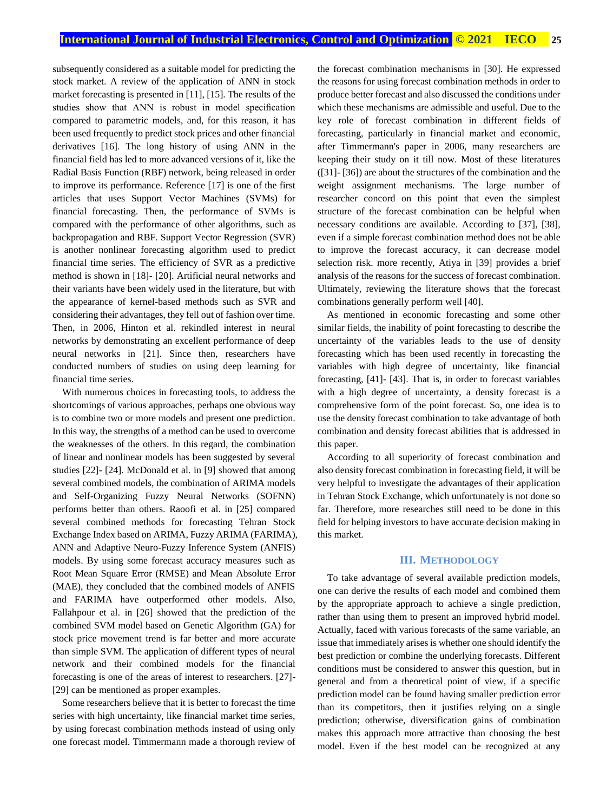subsequently considered as a suitable model for predicting the stock market. A review of the application of ANN in stock market forecasting is presented in [11], [15]. The results of the studies show that ANN is robust in model specification compared to parametric models, and, for this reason, it has been used frequently to predict stock prices and other financial derivatives [16]. The long history of using ANN in the financial field has led to more advanced versions of it, like the Radial Basis Function (RBF) network, being released in order to improve its performance. Reference [17] is one of the first articles that uses Support Vector Machines (SVMs) for financial forecasting. Then, the performance of SVMs is compared with the performance of other algorithms, such as backpropagation and RBF. Support Vector Regression (SVR) is another nonlinear forecasting algorithm used to predict financial time series. The efficiency of SVR as a predictive method is shown in [18]- [20]. Artificial neural networks and their variants have been widely used in the literature, but with the appearance of kernel-based methods such as SVR and considering their advantages, they fell out of fashion over time. Then, in 2006, Hinton et al. rekindled interest in neural networks by demonstrating an excellent performance of deep neural networks in [21]. Since then, researchers have conducted numbers of studies on using deep learning for financial time series.

With numerous choices in forecasting tools, to address the shortcomings of various approaches, perhaps one obvious way is to combine two or more models and present one prediction. In this way, the strengths of a method can be used to overcome the weaknesses of the others. In this regard, the combination of linear and nonlinear models has been suggested by several studies [22]- [24]. McDonald et al. in [9] showed that among several combined models, the combination of ARIMA models and Self-Organizing Fuzzy Neural Networks (SOFNN) performs better than others. Raoofi et al. in [25] compared several combined methods for forecasting Tehran Stock Exchange Index based on ARIMA, Fuzzy ARIMA (FARIMA), ANN and Adaptive Neuro-Fuzzy Inference System (ANFIS) models. By using some forecast accuracy measures such as Root Mean Square Error (RMSE) and Mean Absolute Error (MAE), they concluded that the combined models of ANFIS and FARIMA have outperformed other models. Also, Fallahpour et al. in [26] showed that the prediction of the combined SVM model based on Genetic Algorithm (GA) for stock price movement trend is far better and more accurate than simple SVM. The application of different types of neural network and their combined models for the financial forecasting is one of the areas of interest to researchers. [27]- [29] can be mentioned as proper examples.

Some researchers believe that it is better to forecast the time series with high uncertainty, like financial market time series, by using forecast combination methods instead of using only one forecast model. Timmermann made a thorough review of the forecast combination mechanisms in [30]. He expressed the reasons for using forecast combination methods in order to produce better forecast and also discussed the conditions under which these mechanisms are admissible and useful. Due to the key role of forecast combination in different fields of forecasting, particularly in financial market and economic, after Timmermann's paper in 2006, many researchers are keeping their study on it till now. Most of these literatures ([31]- [36]) are about the structures of the combination and the weight assignment mechanisms. The large number of researcher concord on this point that even the simplest structure of the forecast combination can be helpful when necessary conditions are available. According to [37], [38], even if a simple forecast combination method does not be able to improve the forecast accuracy, it can decrease model selection risk. more recently, Atiya in [39] provides a brief analysis of the reasons for the success of forecast combination. Ultimately, reviewing the literature shows that the forecast combinations generally perform well [40].

As mentioned in economic forecasting and some other similar fields, the inability of point forecasting to describe the uncertainty of the variables leads to the use of density forecasting which has been used recently in forecasting the variables with high degree of uncertainty, like financial forecasting, [41]- [43]. That is, in order to forecast variables with a high degree of uncertainty, a density forecast is a comprehensive form of the point forecast. So, one idea is to use the density forecast combination to take advantage of both combination and density forecast abilities that is addressed in this paper.

According to all superiority of forecast combination and also density forecast combination in forecasting field, it will be very helpful to investigate the advantages of their application in Tehran Stock Exchange, which unfortunately is not done so far. Therefore, more researches still need to be done in this field for helping investors to have accurate decision making in this market.

## **III. METHODOLOGY**

To take advantage of several available prediction models, one can derive the results of each model and combined them by the appropriate approach to achieve a single prediction, rather than using them to present an improved hybrid model. Actually, faced with various forecasts of the same variable, an issue that immediately arises is whether one should identify the best prediction or combine the underlying forecasts. Different conditions must be considered to answer this question, but in general and from a theoretical point of view, if a specific prediction model can be found having smaller prediction error than its competitors, then it justifies relying on a single prediction; otherwise, diversification gains of combination makes this approach more attractive than choosing the best model. Even if the best model can be recognized at any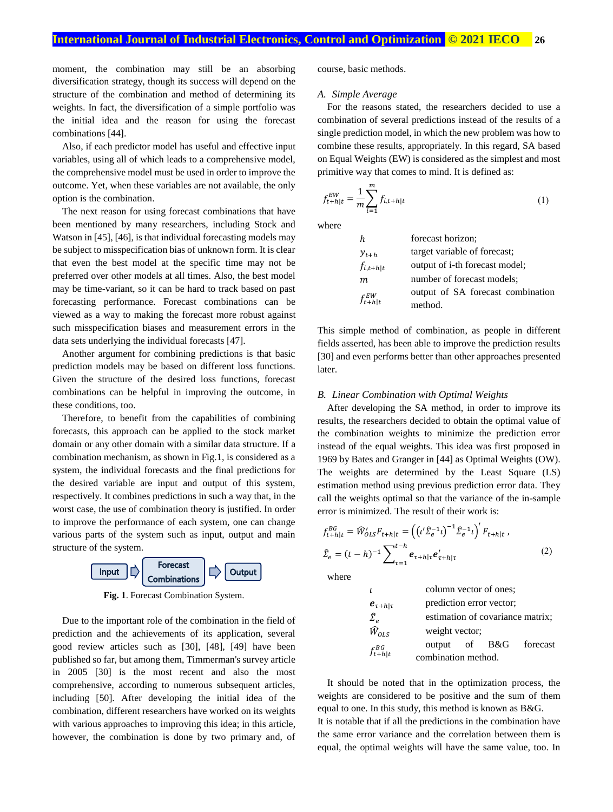moment, the combination may still be an absorbing diversification strategy, though its success will depend on the structure of the combination and method of determining its weights. In fact, the diversification of a simple portfolio was the initial idea and the reason for using the forecast combinations [44].

Also, if each predictor model has useful and effective input variables, using all of which leads to a comprehensive model, the comprehensive model must be used in order to improve the outcome. Yet, when these variables are not available, the only option is the combination.

The next reason for using forecast combinations that have been mentioned by many researchers, including Stock and Watson in [45], [46], is that individual forecasting models may be subject to misspecification bias of unknown form. It is clear that even the best model at the specific time may not be preferred over other models at all times. Also, the best model may be time-variant, so it can be hard to track based on past forecasting performance. Forecast combinations can be viewed as a way to making the forecast more robust against such misspecification biases and measurement errors in the data sets underlying the individual forecasts [47].

Another argument for combining predictions is that basic prediction models may be based on different loss functions. Given the structure of the desired loss functions, forecast combinations can be helpful in improving the outcome, in these conditions, too.

Therefore, to benefit from the capabilities of combining forecasts, this approach can be applied to the stock market domain or any other domain with a similar data structure. If a combination mechanism, as shown in Fig.1, is considered as a system, the individual forecasts and the final predictions for the desired variable are input and output of this system, respectively. It combines predictions in such a way that, in the worst case, the use of combination theory is justified. In order to improve the performance of each system, one can change various parts of the system such as input, output and main structure of the system.



**Fig. 1**. Forecast Combination System.

Due to the important role of the combination in the field of prediction and the achievements of its application, several good review articles such as [30], [48], [49] have been published so far, but among them, Timmerman's survey article in 2005 [30] is the most recent and also the most comprehensive, according to numerous subsequent articles, including [50]. After developing the initial idea of the combination, different researchers have worked on its weights with various approaches to improving this idea; in this article, however, the combination is done by two primary and, of course, basic methods.

## *A. Simple Average*

For the reasons stated, the researchers decided to use a combination of several predictions instead of the results of a single prediction model, in which the new problem was how to combine these results, appropriately. In this regard, SA based on Equal Weights (EW) is considered as the simplest and most primitive way that comes to mind. It is defined as:

$$
f_{t+h|t}^{EW} = \frac{1}{m} \sum_{i=1}^{m} f_{i,t+h|t}
$$
 (1)

where

| h                | forecast horizon;                 |
|------------------|-----------------------------------|
| $y_{t+h}$        | target variable of forecast;      |
| $f_{i,t+h t}$    | output of i-th forecast model;    |
| m                | number of forecast models;        |
| $f_{t+h t}^{EW}$ | output of SA forecast combination |
|                  | method.                           |

This simple method of combination, as people in different fields asserted, has been able to improve the prediction results [30] and even performs better than other approaches presented later.

#### *B. Linear Combination with Optimal Weights*

After developing the SA method, in order to improve its results, the researchers decided to obtain the optimal value of the combination weights to minimize the prediction error instead of the equal weights. This idea was first proposed in 1969 by Bates and Granger in [44] as Optimal Weights (OW). The weights are determined by the Least Square (LS) estimation method using previous prediction error data. They call the weights optimal so that the variance of the in-sample error is minimized. The result of their work is:

$$
f_{t+h|t}^{BG} = \widehat{W}_{OLS}'F_{t+h|t} = \left( \left( \iota' \widehat{\Sigma}_e^{-1} \iota \right)^{-1} \widehat{\Sigma}_e^{-1} \iota \right)' F_{t+h|t} ,
$$
  

$$
\widehat{\Sigma}_e = (t-h)^{-1} \sum_{\tau=1}^{t-h} e_{\tau+h|\tau} e'_{\tau+h|\tau}
$$
 (2)

where

|                         |                     | column vector of ones:   |                                  |
|-------------------------|---------------------|--------------------------|----------------------------------|
| $e_{\tau+h \tau}$       |                     | prediction error vector; |                                  |
| $\widehat{\varSigma}_e$ |                     |                          | estimation of covariance matrix; |
| $\widehat{W}_{OLS}$     | weight vector;      |                          |                                  |
| $f_{t+h t}^{BG}$        | output              | of B&G                   | forecast                         |
|                         | combination method. |                          |                                  |

It should be noted that in the optimization process, the weights are considered to be positive and the sum of them equal to one. In this study, this method is known as B&G. It is notable that if all the predictions in the combination have the same error variance and the correlation between them is equal, the optimal weights will have the same value, too. In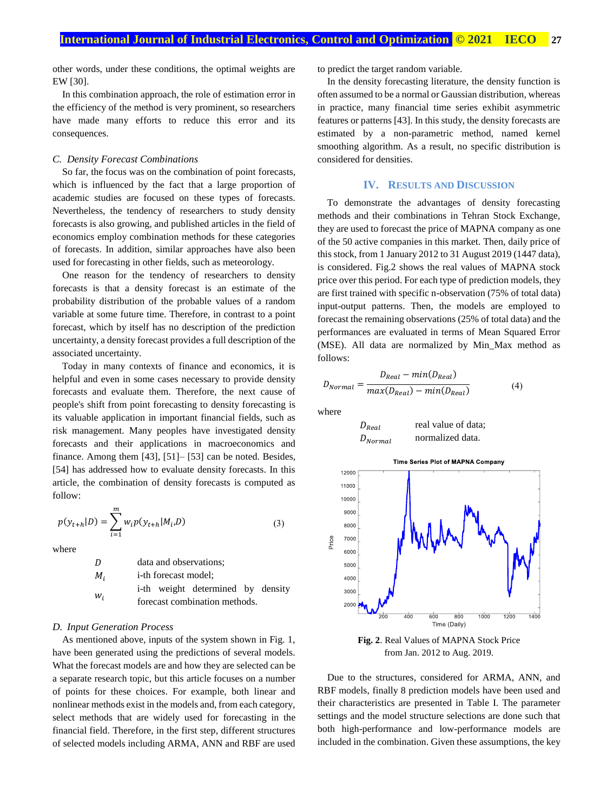other words, under these conditions, the optimal weights are EW [30].

In this combination approach, the role of estimation error in the efficiency of the method is very prominent, so researchers have made many efforts to reduce this error and its consequences.

#### *C. Density Forecast Combinations*

So far, the focus was on the combination of point forecasts, which is influenced by the fact that a large proportion of academic studies are focused on these types of forecasts. Nevertheless, the tendency of researchers to study density forecasts is also growing, and published articles in the field of economics employ combination methods for these categories of forecasts. In addition, similar approaches have also been used for forecasting in other fields, such as meteorology.

One reason for the tendency of researchers to density forecasts is that a density forecast is an estimate of the probability distribution of the probable values of a random variable at some future time. Therefore, in contrast to a point forecast, which by itself has no description of the prediction uncertainty, a density forecast provides a full description of the associated uncertainty.

Today in many contexts of finance and economics, it is helpful and even in some cases necessary to provide density forecasts and evaluate them. Therefore, the next cause of people's shift from point forecasting to density forecasting is its valuable application in important financial fields, such as risk management. Many peoples have investigated density forecasts and their applications in macroeconomics and finance. Among them [43], [51]– [53] can be noted. Besides, [54] has addressed how to evaluate density forecasts. In this article, the combination of density forecasts is computed as follow:

$$
p(y_{t+h}|D) = \sum_{i=1}^{m} w_i p(y_{t+h}|M_i, D)
$$
 (3)

where

| D     | data and observations;            |  |  |  |
|-------|-----------------------------------|--|--|--|
| $M_i$ | <i>i</i> -th forecast model;      |  |  |  |
| $W_i$ | i-th weight determined by density |  |  |  |
|       | forecast combination methods.     |  |  |  |

## *D. Input Generation Process*

As mentioned above, inputs of the system shown in Fig. 1, have been generated using the predictions of several models. What the forecast models are and how they are selected can be a separate research topic, but this article focuses on a number of points for these choices. For example, both linear and nonlinear methods exist in the models and, from each category, select methods that are widely used for forecasting in the financial field. Therefore, in the first step, different structures of selected models including ARMA, ANN and RBF are used to predict the target random variable.

In the density forecasting literature, the density function is often assumed to be a normal or Gaussian distribution, whereas in practice, many financial time series exhibit asymmetric features or patterns [43]. In this study, the density forecasts are estimated by a non-parametric method, named kernel smoothing algorithm. As a result, no specific distribution is considered for densities.

## **IV. RESULTS AND DISCUSSION**

To demonstrate the advantages of density forecasting methods and their combinations in Tehran Stock Exchange, they are used to forecast the price of MAPNA company as one of the 50 active companies in this market. Then, daily price of this stock, from 1 January 2012 to 31 August 2019 (1447 data), is considered. Fig.2 shows the real values of MAPNA stock price over this period. For each type of prediction models, they are first trained with specific n-observation (75% of total data) input-output patterns. Then, the models are employed to forecast the remaining observations (25% of total data) and the performances are evaluated in terms of Mean Squared Error (MSE). All data are normalized by Min\_Max method as follows:

$$
D_{Normal} = \frac{D_{Real} - min(D_{Real})}{max(D_{Real}) - min(D_{Real})}
$$
(4)

where





**Fig. 2**. Real Values of MAPNA Stock Price from Jan. 2012 to Aug. 2019.

Due to the structures, considered for ARMA, ANN, and RBF models, finally 8 prediction models have been used and their characteristics are presented in Table I. The parameter settings and the model structure selections are done such that both high-performance and low-performance models are included in the combination. Given these assumptions, the key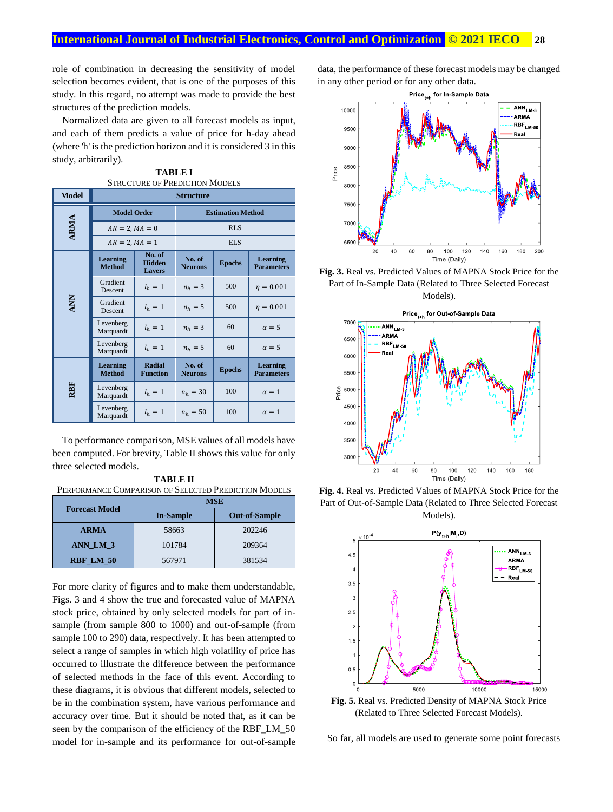role of combination in decreasing the sensitivity of model selection becomes evident, that is one of the purposes of this study. In this regard, no attempt was made to provide the best structures of the prediction models.

Normalized data are given to all forecast models as input, and each of them predicts a value of price for h-day ahead (where 'h' is the prediction horizon and it is considered 3 in this study, arbitrarily).

| <b>Model</b> | STRUCTURE OF L'REDICTION MIODELS<br><b>Structure</b> |                                          |                          |               |                                      |
|--------------|------------------------------------------------------|------------------------------------------|--------------------------|---------------|--------------------------------------|
|              | <b>Model Order</b>                                   |                                          | <b>Estimation Method</b> |               |                                      |
| <b>ARMA</b>  | $AR = 2, MA = 0$                                     |                                          | <b>RLS</b>               |               |                                      |
|              | $AR = 2, MA = 1$                                     |                                          | <b>ELS</b>               |               |                                      |
|              | <b>Learning</b><br><b>Method</b>                     | No. of<br><b>Hidden</b><br><b>Lavers</b> | No. of<br><b>Neurons</b> | <b>Epochs</b> | <b>Learning</b><br><b>Parameters</b> |
|              | Gradient<br><b>Descent</b>                           | $l_h=1$                                  | $n_h = 3$                | 500           | $n = 0.001$                          |
| <b>ANN</b>   | Gradient<br>Descent                                  | $l_h=1$                                  | $n_h = 5$                | 500           | $\eta = 0.001$                       |
|              | Levenberg<br>Marquardt                               | $l_h=1$                                  | $n_h = 3$                | 60            | $\alpha = 5$                         |
|              | Levenberg<br>Marquardt                               | $l_h=1$                                  | $n_h = 5$                | 60            | $\alpha = 5$                         |
| RBF          | <b>Learning</b><br><b>Method</b>                     | Radial<br><b>Function</b>                | No. of<br><b>Neurons</b> | <b>Epochs</b> | <b>Learning</b><br><b>Parameters</b> |
|              | Levenberg<br>Marquardt                               | $l_h=1$                                  | $n_h = 30$               | 100           | $\alpha = 1$                         |
|              | Levenberg<br>Marquardt                               | $l_h=1$                                  | $n_h = 50$               | 100           | $\alpha = 1$                         |

**TABLE I** OF PREDICTIO

To performance comparison, MSE values of all models have been computed. For brevity, Table II shows this value for only three selected models.

**TABLE II** PERFORMANCE COMPARISON OF SELECTED PREDICTION MODELS

|                       | <b>MSE</b>       |                      |  |  |
|-----------------------|------------------|----------------------|--|--|
| <b>Forecast Model</b> | <b>In-Sample</b> | <b>Out-of-Sample</b> |  |  |
| <b>ARMA</b>           | 58663            | 202246               |  |  |
| ANN LM 3              | 101784           | 209364               |  |  |
| RBF LM 50             | 567971           | 381534               |  |  |

For more clarity of figures and to make them understandable, Figs. 3 and 4 show the true and forecasted value of MAPNA stock price, obtained by only selected models for part of insample (from sample 800 to 1000) and out-of-sample (from sample 100 to 290) data, respectively. It has been attempted to select a range of samples in which high volatility of price has occurred to illustrate the difference between the performance of selected methods in the face of this event. According to these diagrams, it is obvious that different models, selected to be in the combination system, have various performance and accuracy over time. But it should be noted that, as it can be seen by the comparison of the efficiency of the RBF\_LM\_50 model for in-sample and its performance for out-of-sample data, the performance of these forecast models may be changed in any other period or for any other data.





**Fig. 3.** Real vs. Predicted Values of MAPNA Stock Price for the Part of In-Sample Data (Related to Three Selected Forecast Models).



**Fig. 4.** Real vs. Predicted Values of MAPNA Stock Price for the Part of Out-of-Sample Data (Related to Three Selected Forecast Models).



**Fig. 5.** Real vs. Predicted Density of MAPNA Stock Price (Related to Three Selected Forecast Models).

So far, all models are used to generate some point forecasts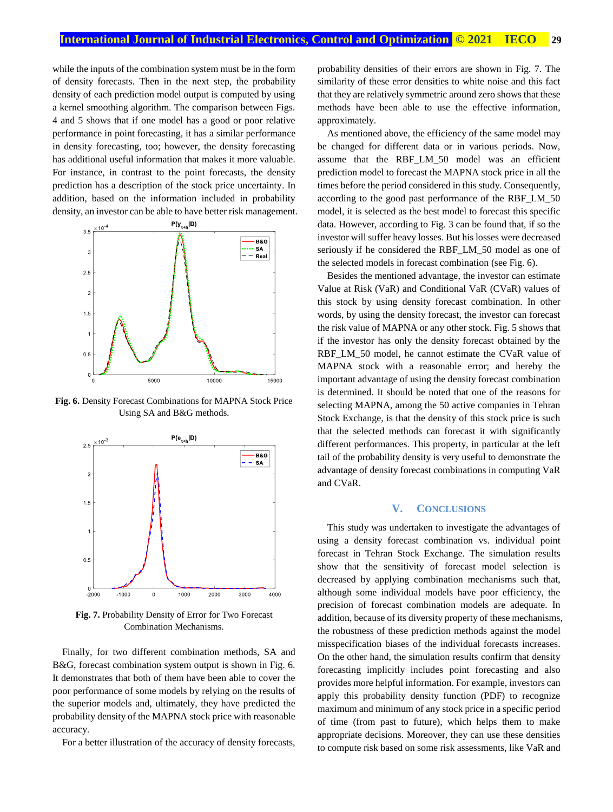while the inputs of the combination system must be in the form of density forecasts. Then in the next step, the probability density of each prediction model output is computed by using a kernel smoothing algorithm. The comparison between Figs. 4 and 5 shows that if one model has a good or poor relative performance in point forecasting, it has a similar performance in density forecasting, too; however, the density forecasting has additional useful information that makes it more valuable. For instance, in contrast to the point forecasts, the density prediction has a description of the stock price uncertainty. In addition, based on the information included in probability density, an investor can be able to have better risk management.



**Fig. 6.** Density Forecast Combinations for MAPNA Stock Price Using SA and B&G methods.



**Fig. 7.** Probability Density of Error for Two Forecast Combination Mechanisms.

Finally, for two different combination methods, SA and B&G, forecast combination system output is shown in Fig. 6. It demonstrates that both of them have been able to cover the poor performance of some models by relying on the results of the superior models and, ultimately, they have predicted the probability density of the MAPNA stock price with reasonable accuracy.

For a better illustration of the accuracy of density forecasts,

probability densities of their errors are shown in Fig. 7. The similarity of these error densities to white noise and this fact that they are relatively symmetric around zero shows that these methods have been able to use the effective information, approximately.

As mentioned above, the efficiency of the same model may be changed for different data or in various periods. Now, assume that the RBF LM 50 model was an efficient prediction model to forecast the MAPNA stock price in all the times before the period considered in this study. Consequently, according to the good past performance of the RBF\_LM\_50 model, it is selected as the best model to forecast this specific data. However, according to Fig. 3 can be found that, if so the investor will suffer heavy losses. But his losses were decreased seriously if he considered the RBF\_LM\_50 model as one of the selected models in forecast combination (see Fig. 6).

Besides the mentioned advantage, the investor can estimate Value at Risk (VaR) and Conditional VaR (CVaR) values of this stock by using density forecast combination. In other words, by using the density forecast, the investor can forecast the risk value of MAPNA or any other stock. Fig. 5 shows that if the investor has only the density forecast obtained by the RBF\_LM\_50 model, he cannot estimate the CVaR value of MAPNA stock with a reasonable error; and hereby the important advantage of using the density forecast combination is determined. It should be noted that one of the reasons for selecting MAPNA, among the 50 active companies in Tehran Stock Exchange, is that the density of this stock price is such that the selected methods can forecast it with significantly different performances. This property, in particular at the left tail of the probability density is very useful to demonstrate the advantage of density forecast combinations in computing VaR and CVaR.

## **V. CONCLUSIONS**

This study was undertaken to investigate the advantages of using a density forecast combination vs. individual point forecast in Tehran Stock Exchange. The simulation results show that the sensitivity of forecast model selection is decreased by applying combination mechanisms such that, although some individual models have poor efficiency, the precision of forecast combination models are adequate. In addition, because of its diversity property of these mechanisms, the robustness of these prediction methods against the model misspecification biases of the individual forecasts increases. On the other hand, the simulation results confirm that density forecasting implicitly includes point forecasting and also provides more helpful information. For example, investors can apply this probability density function (PDF) to recognize maximum and minimum of any stock price in a specific period of time (from past to future), which helps them to make appropriate decisions. Moreover, they can use these densities to compute risk based on some risk assessments, like VaR and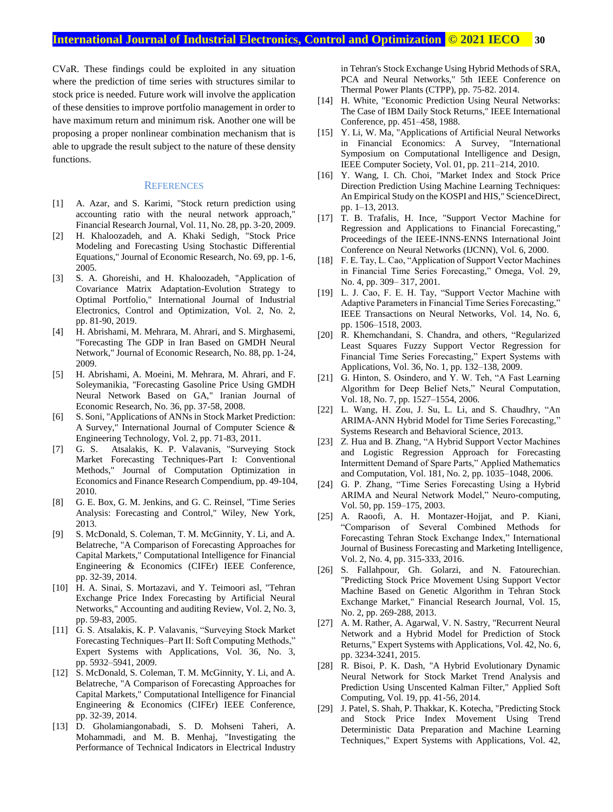CVaR. These findings could be exploited in any situation where the prediction of time series with structures similar to stock price is needed. Future work will involve the application of these densities to improve portfolio management in order to have maximum return and minimum risk. Another one will be proposing a proper nonlinear combination mechanism that is able to upgrade the result subject to the nature of these density functions.

#### **REFERENCES**

- [1] A. Azar, and S. Karimi, "Stock return prediction using accounting ratio with the neural network approach," Financial Research Journal, Vol. 11, No. 28, pp. 3-20, 2009.
- [2] H. Khaloozadeh, and A. Khaki Sedigh, "Stock Price Modeling and Forecasting Using Stochastic Differential Equations," Journal of Economic Research, No. 69, pp. 1-6, 2005.
- [3] S. A. Ghoreishi, and H. Khaloozadeh, "Application of Covariance Matrix Adaptation-Evolution Strategy to Optimal Portfolio," International Journal of Industrial Electronics, Control and Optimization, Vol. 2, No. 2, pp. 81-90, 2019.
- [4] H. Abrishami, M. Mehrara, M. Ahrari, and S. Mirghasemi, "Forecasting The GDP in Iran Based on GMDH Neural Network," Journal of Economic Research, No. 88, pp. 1-24, 2009.
- [5] H. Abrishami, A. Moeini, M. Mehrara, M. Ahrari, and F. Soleymanikia, "Forecasting Gasoline Price Using GMDH Neural Network Based on GA," Iranian Journal of Economic Research, No. 36, pp. 37-58, 2008.
- [6] S. Soni, "Applications of ANNs in Stock Market Prediction: A Survey," International Journal of Computer Science & Engineering Technology, Vol. 2, pp. 71-83, 2011.
- [7] G. S. Atsalakis, K. P. Valavanis, "Surveying Stock Market Forecasting Techniques-Part I: Conventional Methods," Journal of Computation Optimization in Economics and Finance Research Compendium, pp. 49-104, 2010.
- [8] G. E. Box, G. M. Jenkins, and G. C. Reinsel, "Time Series Analysis: Forecasting and Control," Wiley, New York, 2013.
- [9] S. McDonald, S. Coleman, T. M. McGinnity, Y. Li, and A. Belatreche, "A Comparison of Forecasting Approaches for Capital Markets," Computational Intelligence for Financial Engineering & Economics (CIFEr) IEEE Conference, pp. 32-39, 2014.
- [10] H. A. Sinai, S. Mortazavi, and Y. Teimoori asl, "Tehran Exchange Price Index Forecasting by Artificial Neural Networks," Accounting and auditing Review, Vol. 2, No. 3, pp. 59-83, 2005.
- [11] G. S. Atsalakis, K. P. Valavanis, "Surveying Stock Market Forecasting Techniques–Part II: Soft Computing Methods," Expert Systems with Applications, Vol. 36, No. 3, pp. 5932–5941, 2009.
- [12] S. McDonald, S. Coleman, T. M. McGinnity, Y. Li, and A. Belatreche, "A Comparison of Forecasting Approaches for Capital Markets," Computational Intelligence for Financial Engineering & Economics (CIFEr) IEEE Conference, pp. 32-39, 2014.
- [13] D. Gholamiangonabadi, S. D. Mohseni Taheri, A. Mohammadi, and M. B. Menhaj, "Investigating the Performance of Technical Indicators in Electrical Industry

in Tehran's Stock Exchange Using Hybrid Methods of SRA, PCA and Neural Networks," 5th IEEE Conference on Thermal Power Plants (CTPP), pp. 75-82. 2014.

- [14] H. White, "Economic Prediction Using Neural Networks: The Case of IBM Daily Stock Returns," IEEE International Conference, pp. 451–458, 1988.
- [15] Y. Li, W. Ma, "Applications of Artificial Neural Networks in Financial Economics: A Survey, "International Symposium on Computational Intelligence and Design, IEEE Computer Society, Vol. 01, pp. 211–214, 2010.
- [16] Y. Wang, I. Ch. Choi, "Market Index and Stock Price Direction Prediction Using Machine Learning Techniques: An Empirical Study on the KOSPI and HIS," ScienceDirect, pp. 1–13, 2013.
- [17] T. B. Trafalis, H. Ince, "Support Vector Machine for Regression and Applications to Financial Forecasting," Proceedings of the IEEE-INNS-ENNS International Joint Conference on Neural Networks (IJCNN), Vol. 6, 2000.
- [18] F. E. Tay, L. Cao, "Application of Support Vector Machines in Financial Time Series Forecasting," Omega, Vol. 29, No. 4, pp. 309– 317, 2001.
- [19] L. J. Cao, F. E. H. Tay, "Support Vector Machine with Adaptive Parameters in Financial Time Series Forecasting," IEEE Transactions on Neural Networks, Vol. 14, No. 6, pp. 1506–1518, 2003.
- [20] R. Khemchandani, S. Chandra, and others, "Regularized Least Squares Fuzzy Support Vector Regression for Financial Time Series Forecasting," Expert Systems with Applications, Vol. 36, No. 1, pp. 132–138, 2009.
- [21] G. Hinton, S. Osindero, and Y. W. Teh, "A Fast Learning Algorithm for Deep Belief Nets," Neural Computation, Vol. 18, No. 7, pp. 1527–1554, 2006.
- [22] L. Wang, H. Zou, J. Su, L. Li, and S. Chaudhry, "An ARIMA-ANN Hybrid Model for Time Series Forecasting," Systems Research and Behavioral Science, 2013.
- [23] Z. Hua and B. Zhang, "A Hybrid Support Vector Machines and Logistic Regression Approach for Forecasting Intermittent Demand of Spare Parts," Applied Mathematics and Computation, Vol. 181, No. 2, pp. 1035–1048, 2006.
- [24] G. P. Zhang, "Time Series Forecasting Using a Hybrid ARIMA and Neural Network Model," Neuro-computing, Vol. 50, pp. 159–175, 2003.
- [25] A. Raoofi, A. H. Montazer-Hojjat, and P. Kiani, "Comparison of Several Combined Methods for Forecasting Tehran Stock Exchange Index," International Journal of Business Forecasting and Marketing Intelligence, Vol. 2, No. 4, pp. 315-333, 2016.
- [26] S. Fallahpour, Gh. Golarzi, and N. Fatourechian. "Predicting Stock Price Movement Using Support Vector Machine Based on Genetic Algorithm in Tehran Stock Exchange Market," Financial Research Journal, Vol. 15, No. 2, pp. 269-288, 2013.
- [27] A. M. Rather, A. Agarwal, V. N. Sastry, "Recurrent Neural Network and a Hybrid Model for Prediction of Stock Returns," Expert Systems with Applications, Vol. 42, No. 6, pp. 3234-3241, 2015.
- [28] R. Bisoi, P. K. Dash, "A Hybrid Evolutionary Dynamic Neural Network for Stock Market Trend Analysis and Prediction Using Unscented Kalman Filter," Applied Soft Computing, Vol. 19, pp. 41-56, 2014.
- [29] J. Patel, S. Shah, P. Thakkar, K. Kotecha, "Predicting Stock and Stock Price Index Movement Using Trend Deterministic Data Preparation and Machine Learning Techniques," Expert Systems with Applications, Vol. 42,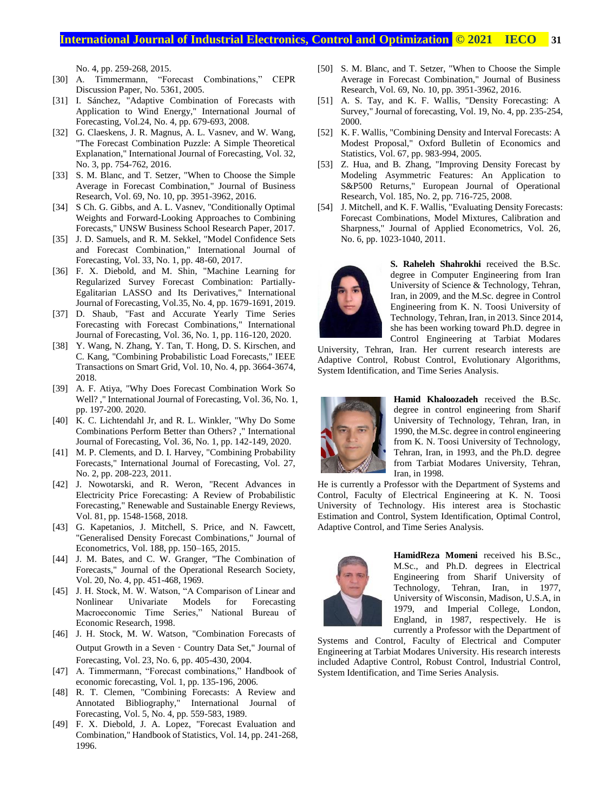## **International Journal of Industrial Electronics, Control and Optimization .© 2021 IECO… 31**

No. 4, pp. 259-268, 2015.

- [30] A. Timmermann, "Forecast Combinations," CEPR Discussion Paper, No. 5361, 2005.
- [31] I. Sánchez, "Adaptive Combination of Forecasts with Application to Wind Energy," International Journal of Forecasting, Vol.24, No. 4, pp. 679-693, 2008.
- [32] G. Claeskens, J. R. Magnus, A. L. Vasnev, and W. Wang, "The Forecast Combination Puzzle: A Simple Theoretical Explanation," International Journal of Forecasting, Vol. 32, No. 3, pp. 754-762, 2016.
- [33] S. M. Blanc, and T. Setzer, "When to Choose the Simple Average in Forecast Combination," Journal of Business Research, Vol. 69, No. 10, pp. 3951-3962, 2016.
- [34] S Ch. G. Gibbs, and A. L. Vasnev, "Conditionally Optimal Weights and Forward-Looking Approaches to Combining Forecasts," UNSW Business School Research Paper, 2017.
- [35] J. D. Samuels, and R. M. Sekkel, "Model Confidence Sets and Forecast Combination," International Journal of Forecasting, Vol. 33, No. 1, pp. 48-60, 2017.
- [36] F. X. Diebold, and M. Shin, "Machine Learning for Regularized Survey Forecast Combination: Partially-Egalitarian LASSO and Its Derivatives," International Journal of Forecasting, Vol.35, No. 4, pp. 1679-1691, 2019.
- [37] D. Shaub, "Fast and Accurate Yearly Time Series Forecasting with Forecast Combinations," International Journal of Forecasting, Vol. 36, No. 1, pp. 116-120, 2020.
- [38] Y. Wang, N. Zhang, Y. Tan, T. Hong, D. S. Kirschen, and C. Kang, "Combining Probabilistic Load Forecasts," IEEE Transactions on Smart Grid, Vol. 10, No. 4, pp. 3664-3674, 2018.
- [39] A. F. Atiya, "Why Does Forecast Combination Work So Well? ," International Journal of Forecasting, Vol. 36, No. 1, pp. 197-200. 2020.
- [40] K. C. Lichtendahl Jr, and R. L. Winkler, "Why Do Some Combinations Perform Better than Others? ," International Journal of Forecasting, Vol. 36, No. 1, pp. 142-149, 2020.
- [41] M. P. Clements, and D. I. Harvey, "Combining Probability Forecasts," International Journal of Forecasting, Vol. 27, No. 2, pp. 208-223, 2011.
- [42] J. Nowotarski, and R. Weron, "Recent Advances in Electricity Price Forecasting: A Review of Probabilistic Forecasting," Renewable and Sustainable Energy Reviews, Vol. 81, pp. 1548-1568, 2018.
- [43] G. Kapetanios, J. Mitchell, S. Price, and N. Fawcett, "Generalised Density Forecast Combinations," Journal of Econometrics, Vol. 188, pp. 150–165, 2015.
- [44] J. M. Bates, and C. W. Granger, "The Combination of Forecasts," Journal of the Operational Research Society, Vol. 20, No. 4, pp. 451-468, 1969.
- [45] J. H. Stock, M. W. Watson, "A Comparison of Linear and Nonlinear Univariate Models for Forecasting Macroeconomic Time Series," National Bureau of Economic Research, 1998.
- [46] J. H. Stock, M. W. Watson, "Combination Forecasts of Output Growth in a Seven‐Country Data Set," Journal of Forecasting, Vol. 23, No. 6, pp. 405-430, 2004.
- [47] A. Timmermann, "Forecast combinations," Handbook of economic forecasting, Vol. 1, pp. 135-196, 2006.
- [48] R. T. Clemen, "Combining Forecasts: A Review and Annotated Bibliography," International Journal of Forecasting, Vol. 5, No. 4, pp. 559-583, 1989.
- [49] F. X. Diebold, J. A. Lopez, "Forecast Evaluation and Combination," Handbook of Statistics, Vol. 14, pp. 241-268, 1996.
- [50] S. M. Blanc, and T. Setzer, "When to Choose the Simple Average in Forecast Combination," Journal of Business Research, Vol. 69, No. 10, pp. 3951-3962, 2016.
- [51] A. S. Tay, and K. F. Wallis, "Density Forecasting: A Survey," Journal of forecasting, Vol. 19, No. 4, pp. 235-254, 2000.
- [52] K. F. Wallis, "Combining Density and Interval Forecasts: A Modest Proposal," Oxford Bulletin of Economics and Statistics, Vol. 67, pp. 983-994, 2005.
- [53] Z. Hua, and B. Zhang, "Improving Density Forecast by Modeling Asymmetric Features: An Application to S&P500 Returns," European Journal of Operational Research, Vol. 185, No. 2, pp. 716-725, 2008.
- [54] J. Mitchell, and K. F. Wallis, "Evaluating Density Forecasts: Forecast Combinations, Model Mixtures, Calibration and Sharpness," Journal of Applied Econometrics, Vol. 26, No. 6, pp. 1023-1040, 2011.



**S. Raheleh Shahrokhi** received the B.Sc. degree in Computer Engineering from Iran University of Science & Technology, Tehran, Iran, in 2009, and the M.Sc. degree in Control Engineering from K. N. Toosi University of Technology, Tehran, Iran, in 2013. Since 2014, she has been working toward Ph.D. degree in Control Engineering at Tarbiat Modares

University, Tehran, Iran. Her current research interests are Adaptive Control, Robust Control, Evolutionary Algorithms, System Identification, and Time Series Analysis.



**Hamid Khaloozadeh** received the B.Sc. degree in control engineering from Sharif University of Technology, Tehran, Iran, in 1990, the M.Sc. degree in control engineering from K. N. Toosi University of Technology, Tehran, Iran, in 1993, and the Ph.D. degree from Tarbiat Modares University, Tehran, Iran, in 1998.

He is currently a Professor with the Department of Systems and Control, Faculty of Electrical Engineering at K. N. Toosi University of Technology. His interest area is Stochastic Estimation and Control, System Identification, Optimal Control, Adaptive Control, and Time Series Analysis.



**HamidReza Momeni** received his B.Sc., M.Sc., and Ph.D. degrees in Electrical Engineering from Sharif University of Technology, Tehran, Iran, in 1977, University of Wisconsin, Madison, U.S.A, in 1979, and Imperial College, London, England, in 1987, respectively. He is currently a Professor with the Department of

Systems and Control, Faculty of Electrical and Computer Engineering at Tarbiat Modares University. His research interests included Adaptive Control, Robust Control, Industrial Control, System Identification, and Time Series Analysis.